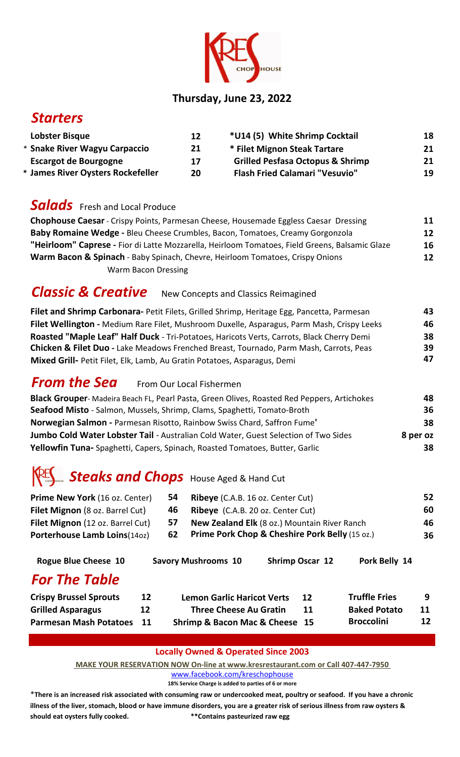

#### **Thursday, June 23, 2022**

## *Starters*

| Lobster Bisque                    | 12 | *U14 (5) White Shrimp Cocktail              | 18 |
|-----------------------------------|----|---------------------------------------------|----|
| * Snake River Wagyu Carpaccio     | 21 | * Filet Mignon Steak Tartare                | 21 |
| <b>Escargot de Bourgogne</b>      | 17 | <b>Grilled Pesfasa Octopus &amp; Shrimp</b> | 21 |
| * James River Oysters Rockefeller | 20 | <b>Flash Fried Calamari "Vesuvio"</b>       | 19 |

### **Salads** Fresh and Local Produce

| <b>Chophouse Caesar</b> - Crispy Points, Parmesan Cheese, Housemade Eggless Caesar Dressing    |  |  |
|------------------------------------------------------------------------------------------------|--|--|
| Baby Romaine Wedge - Bleu Cheese Crumbles, Bacon, Tomatoes, Creamy Gorgonzola                  |  |  |
| "Heirloom" Caprese - Fior di Latte Mozzarella, Heirloom Tomatoes, Field Greens, Balsamic Glaze |  |  |
| <b>Warm Bacon &amp; Spinach</b> - Baby Spinach, Chevre, Heirloom Tomatoes, Crispy Onions       |  |  |
| <b>Warm Bacon Dressing</b>                                                                     |  |  |

# *Classic & Creative* New Concepts and Classics Reimagined

| Filet and Shrimp Carbonara- Petit Filets, Grilled Shrimp, Heritage Egg, Pancetta, Parmesan |    |
|--------------------------------------------------------------------------------------------|----|
| Filet Wellington - Medium Rare Filet, Mushroom Duxelle, Asparagus, Parm Mash, Crispy Leeks | 46 |
| Roasted "Maple Leaf" Half Duck - Tri-Potatoes, Haricots Verts, Carrots, Black Cherry Demi  | 38 |
| Chicken & Filet Duo - Lake Meadows Frenched Breast, Tournado, Parm Mash, Carrots, Peas     | 39 |
| Mixed Grill- Petit Filet, Elk, Lamb, Au Gratin Potatoes, Asparagus, Demi                   | 47 |

## **From the Sea** From Our Local Fishermen

| <b>Black Grouper-</b> Madeira Beach FL, Pearl Pasta, Green Olives, Roasted Red Peppers, Artichokes | 48       |
|----------------------------------------------------------------------------------------------------|----------|
| Seafood Misto - Salmon, Mussels, Shrimp, Clams, Spaghetti, Tomato-Broth                            | 36       |
| Norwegian Salmon - Parmesan Risotto, Rainbow Swiss Chard, Saffron Fume'                            | 38       |
| Jumbo Cold Water Lobster Tail - Australian Cold Water, Guest Selection of Two Sides                | 8 per oz |
| Yellowfin Tuna- Spaghetti, Capers, Spinach, Roasted Tomatoes, Butter, Garlic                       | 38.      |

# *Steaks and Chops* House Aged & Hand Cut

| 54  | <b>Ribeye</b> (C.A.B. 16 oz. Center Cut)                  | 52 |
|-----|-----------------------------------------------------------|----|
| 46. | <b>Ribeye</b> (C.A.B. 20 oz. Center Cut)                  | 60 |
| 57  | <b>New Zealand Elk</b> (8 oz.) Mountain River Ranch       | 46 |
| 62  | <b>Prime Pork Chop &amp; Cheshire Pork Belly (15 oz.)</b> | 36 |
|     |                                                           |    |

| <b>Rogue Blue Cheese 10</b>   |                   | <b>Savory Mushrooms 10</b>        | <b>Shrimp Oscar 12</b> | Pork Belly 14        |    |
|-------------------------------|-------------------|-----------------------------------|------------------------|----------------------|----|
| <b>For The Table</b>          |                   |                                   |                        |                      |    |
| <b>Crispy Brussel Sprouts</b> | $12 \overline{ }$ | <b>Lemon Garlic Haricot Verts</b> | 12                     | <b>Truffle Fries</b> | 9  |
| <b>Grilled Asparagus</b>      | 12                | <b>Three Cheese Au Gratin</b>     | 11                     | <b>Baked Potato</b>  | 11 |
| <b>Parmesan Mash Potatoes</b> | 11                | Shrimp & Bacon Mac & Cheese 15    |                        | <b>Broccolini</b>    | 12 |

#### **Locally Owned & Operated Since 2003**

 **[MAKE YOUR RESERVATION N](http://www.facebook.com/kreschophouse)OW On-line at www.kresrestaurant.com or Call 407-447-7950** 

www.facebook.com/kreschophouse **18% Service Charge is added to parties of 6 or more**

\***There is an increased risk associated with consuming raw or undercooked meat, poultry or seafood. If you have a chronic illness of the liver, stomach, blood or have immune disorders, you are a greater risk of serious illness from raw oysters & should eat oysters fully cooked. \*\*Contains pasteurized raw egg**